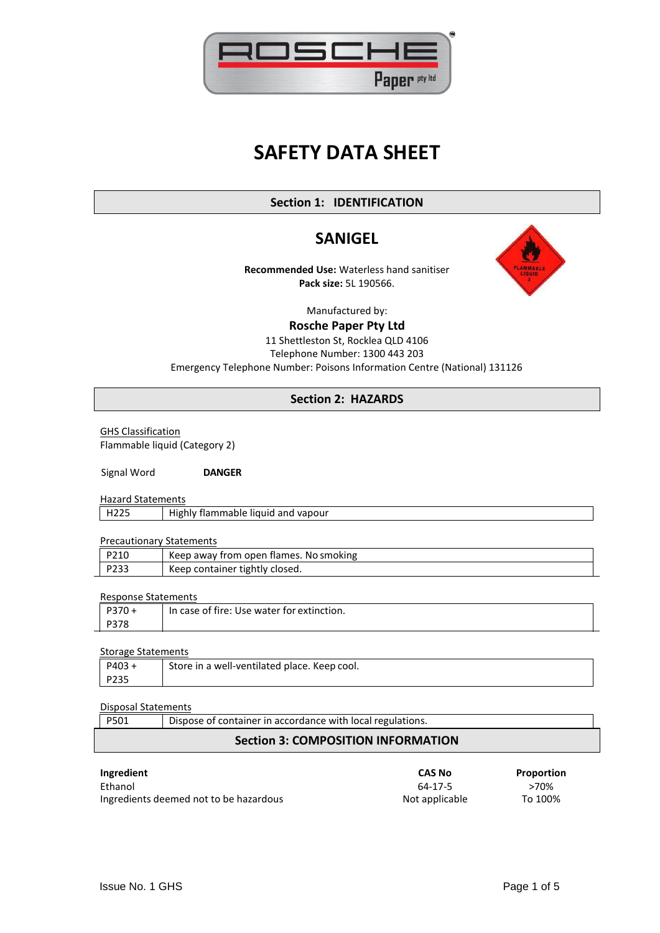

# **SAFETY DATA SHEET**

# **Section 1: IDENTIFICATION**

# **SANIGEL**

**Recommended Use:** Waterless hand sanitiser **Pack size:** 5L 190566.



Manufactured by:

**Rosche Paper Pty Ltd**

## 11 Shettleston St, Rocklea QLD 4106 Telephone Number: 1300 443 203 Emergency Telephone Number: Poisons Information Centre (National) 131126

# **Section 2: HAZARDS**

GHS Classification Flammable liquid (Category 2)

Signal Word **DANGER**

Hazard Statements

| H <sub>225</sub> | Highly flammable liquid and vapour |  |  |
|------------------|------------------------------------|--|--|

#### Precautionary Statements

| P210 | Keep away from open flames. No smoking |
|------|----------------------------------------|
| P233 | Keep container tightly closed.         |

#### Response Statements

| P370+ | In case of fire: Use water for extinction. |
|-------|--------------------------------------------|
| P378  |                                            |
|       |                                            |

#### Storage Statements

| $P403 \cdot$ | Store in a well-ventilated place. Keep cool. |
|--------------|----------------------------------------------|
| P235         |                                              |

#### Disposal Statements

| P501 | Dispose of container in accordance with local regulations. |  |
|------|------------------------------------------------------------|--|
|      | <b>Section 3: COMPOSITION INFORMATION</b>                  |  |

| Ingredient                             | <b>CAS No</b>  | Proportion |
|----------------------------------------|----------------|------------|
| Ethanol                                | 64-17-5        | >70%       |
| Ingredients deemed not to be hazardous | Not applicable | To 100%    |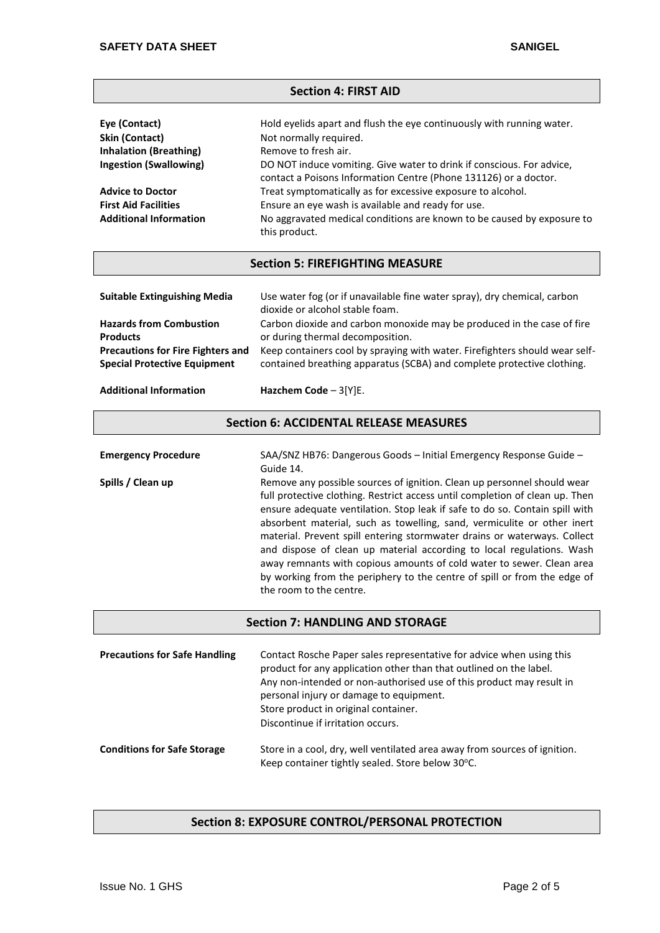#### **Section 4: FIRST AID**

| Eye (Contact)                 | Hold eyelids apart and flush the eye continuously with running water.                                                                     |
|-------------------------------|-------------------------------------------------------------------------------------------------------------------------------------------|
| Skin (Contact)                | Not normally required.                                                                                                                    |
| <b>Inhalation (Breathing)</b> | Remove to fresh air.                                                                                                                      |
| <b>Ingestion (Swallowing)</b> | DO NOT induce vomiting. Give water to drink if conscious. For advice,<br>contact a Poisons Information Centre (Phone 131126) or a doctor. |
| <b>Advice to Doctor</b>       | Treat symptomatically as for excessive exposure to alcohol.                                                                               |
| <b>First Aid Facilities</b>   | Ensure an eye wash is available and ready for use.                                                                                        |
| <b>Additional Information</b> | No aggravated medical conditions are known to be caused by exposure to<br>this product.                                                   |

#### **Section 5: FIREFIGHTING MEASURE**

| <b>Suitable Extinguishing Media</b>      | Use water fog (or if unavailable fine water spray), dry chemical, carbon<br>dioxide or alcohol stable foam. |
|------------------------------------------|-------------------------------------------------------------------------------------------------------------|
| <b>Hazards from Combustion</b>           | Carbon dioxide and carbon monoxide may be produced in the case of fire                                      |
| <b>Products</b>                          | or during thermal decomposition.                                                                            |
| <b>Precautions for Fire Fighters and</b> | Keep containers cool by spraying with water. Firefighters should wear self-                                 |
| <b>Special Protective Equipment</b>      | contained breathing apparatus (SCBA) and complete protective clothing.                                      |

#### **Additional Information Hazchem Code** – 3[Y]E.

#### **Section 6: ACCIDENTAL RELEASE MEASURES**

| <b>Emergency Procedure</b> | SAA/SNZ HB76: Dangerous Goods - Initial Emergency Response Guide -<br>Guide 14.                                                                                                                                                                                                                                                                                                                                                                                                                                                                                                                                                                        |
|----------------------------|--------------------------------------------------------------------------------------------------------------------------------------------------------------------------------------------------------------------------------------------------------------------------------------------------------------------------------------------------------------------------------------------------------------------------------------------------------------------------------------------------------------------------------------------------------------------------------------------------------------------------------------------------------|
| Spills / Clean up          | Remove any possible sources of ignition. Clean up personnel should wear<br>full protective clothing. Restrict access until completion of clean up. Then<br>ensure adequate ventilation. Stop leak if safe to do so. Contain spill with<br>absorbent material, such as towelling, sand, vermiculite or other inert<br>material. Prevent spill entering stormwater drains or waterways. Collect<br>and dispose of clean up material according to local regulations. Wash<br>away remnants with copious amounts of cold water to sewer. Clean area<br>by working from the periphery to the centre of spill or from the edge of<br>the room to the centre. |

#### **Section 7: HANDLING AND STORAGE**

| <b>Precautions for Safe Handling</b> | Contact Rosche Paper sales representative for advice when using this<br>product for any application other than that outlined on the label.<br>Any non-intended or non-authorised use of this product may result in<br>personal injury or damage to equipment.<br>Store product in original container.<br>Discontinue if irritation occurs. |
|--------------------------------------|--------------------------------------------------------------------------------------------------------------------------------------------------------------------------------------------------------------------------------------------------------------------------------------------------------------------------------------------|
| <b>Conditions for Safe Storage</b>   | Store in a cool, dry, well ventilated area away from sources of ignition.                                                                                                                                                                                                                                                                  |

# Keep container tightly sealed. Store below 30°C.

# **Section 8: EXPOSURE CONTROL/PERSONAL PROTECTION**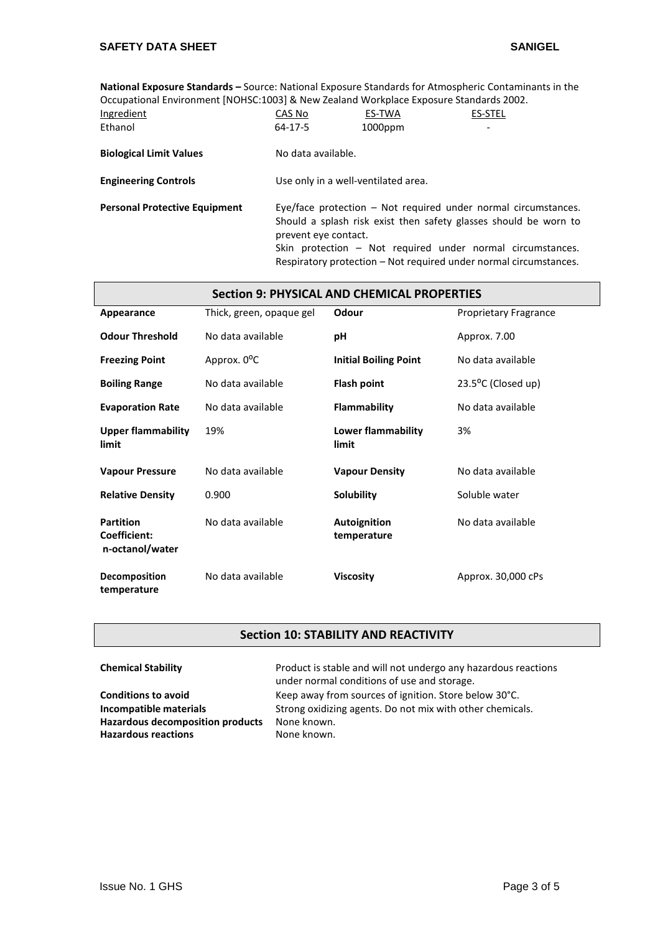$\overline{\phantom{a}}$ 

**National Exposure Standards –** Source: National Exposure Standards for Atmospheric Contaminants in the Occupational Environment [NOHSC:1003] & New Zealand Workplace Exposure Standards 2002.

| Ingredient                           | CAS No                                                                                                                                                                                                                                                                                          | ES-TWA     | <b>ES-STEL</b> |  |
|--------------------------------------|-------------------------------------------------------------------------------------------------------------------------------------------------------------------------------------------------------------------------------------------------------------------------------------------------|------------|----------------|--|
| Ethanol                              | 64-17-5                                                                                                                                                                                                                                                                                         | $1000$ ppm |                |  |
| <b>Biological Limit Values</b>       | No data available.                                                                                                                                                                                                                                                                              |            |                |  |
| <b>Engineering Controls</b>          | Use only in a well-ventilated area.                                                                                                                                                                                                                                                             |            |                |  |
| <b>Personal Protective Equipment</b> | Eye/face protection $-$ Not required under normal circumstances.<br>Should a splash risk exist then safety glasses should be worn to<br>prevent eye contact.<br>Skin protection – Not required under normal circumstances.<br>Respiratory protection – Not required under normal circumstances. |            |                |  |

| Section 9: PHYSICAL AND CHEMICAL PROPERTIES         |                          |                                    |                              |  |
|-----------------------------------------------------|--------------------------|------------------------------------|------------------------------|--|
| Appearance                                          | Thick, green, opaque gel | Odour                              | <b>Proprietary Fragrance</b> |  |
| <b>Odour Threshold</b>                              | No data available        | рH                                 | Approx. 7.00                 |  |
| <b>Freezing Point</b>                               | Approx. 0 <sup>o</sup> C | <b>Initial Boiling Point</b>       | No data available            |  |
| <b>Boiling Range</b>                                | No data available        | Flash point                        | $23.5^{\circ}$ C (Closed up) |  |
| <b>Evaporation Rate</b>                             | No data available        | <b>Flammability</b>                | No data available            |  |
| <b>Upper flammability</b><br>limit                  | 19%                      | Lower flammability<br>limit        | 3%                           |  |
| <b>Vapour Pressure</b>                              | No data available        | <b>Vapour Density</b>              | No data available            |  |
| <b>Relative Density</b>                             | 0.900                    | <b>Solubility</b>                  | Soluble water                |  |
| <b>Partition</b><br>Coefficient:<br>n-octanol/water | No data available        | <b>Autoignition</b><br>temperature | No data available            |  |
| Decomposition<br>temperature                        | No data available        | <b>Viscosity</b>                   | Approx. 30,000 cPs           |  |

# **Section 10: STABILITY AND REACTIVITY**

| <b>Chemical Stability</b>               | Product is stable and will not undergo any hazardous reactions<br>under normal conditions of use and storage. |
|-----------------------------------------|---------------------------------------------------------------------------------------------------------------|
| <b>Conditions to avoid</b>              | Keep away from sources of ignition. Store below 30°C.                                                         |
| Incompatible materials                  | Strong oxidizing agents. Do not mix with other chemicals.                                                     |
| <b>Hazardous decomposition products</b> | None known.                                                                                                   |
| <b>Hazardous reactions</b>              | None known.                                                                                                   |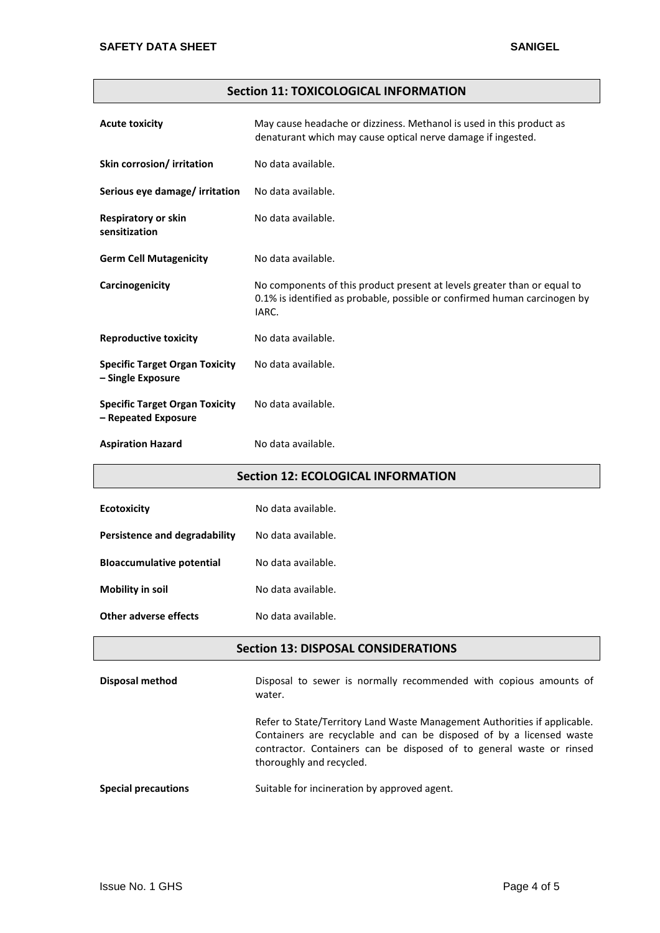### **Section 11: TOXICOLOGICAL INFORMATION**

| <b>Acute toxicity</b>                                        | May cause headache or dizziness. Methanol is used in this product as<br>denaturant which may cause optical nerve damage if ingested.                           |
|--------------------------------------------------------------|----------------------------------------------------------------------------------------------------------------------------------------------------------------|
| Skin corrosion/ irritation                                   | No data available.                                                                                                                                             |
| Serious eye damage/ irritation                               | No data available.                                                                                                                                             |
| <b>Respiratory or skin</b><br>sensitization                  | No data available.                                                                                                                                             |
| <b>Germ Cell Mutagenicity</b>                                | No data available.                                                                                                                                             |
| Carcinogenicity                                              | No components of this product present at levels greater than or equal to<br>0.1% is identified as probable, possible or confirmed human carcinogen by<br>IARC. |
| <b>Reproductive toxicity</b>                                 | No data available.                                                                                                                                             |
| <b>Specific Target Organ Toxicity</b><br>- Single Exposure   | No data available.                                                                                                                                             |
| <b>Specific Target Organ Toxicity</b><br>- Repeated Exposure | No data available.                                                                                                                                             |
| <b>Aspiration Hazard</b>                                     | No data available.                                                                                                                                             |

#### **Section 12: ECOLOGICAL INFORMATION**

| <b>Ecotoxicity</b>               | No data available. |
|----------------------------------|--------------------|
| Persistence and degradability    | No data available. |
| <b>Bloaccumulative potential</b> | No data available. |
| Mobility in soil                 | No data available. |
| Other adverse effects            | No data available. |

#### **Section 13: DISPOSAL CONSIDERATIONS**

**Disposal method Disposal to sewer is normally recommended with copious amounts of** water. Refer to State/Territory Land Waste Management Authorities if applicable. Containers are recyclable and can be disposed of by a licensed waste

contractor. Containers can be disposed of to general waste or rinsed

**Special precautions** Suitable for incineration by approved agent.

thoroughly and recycled.